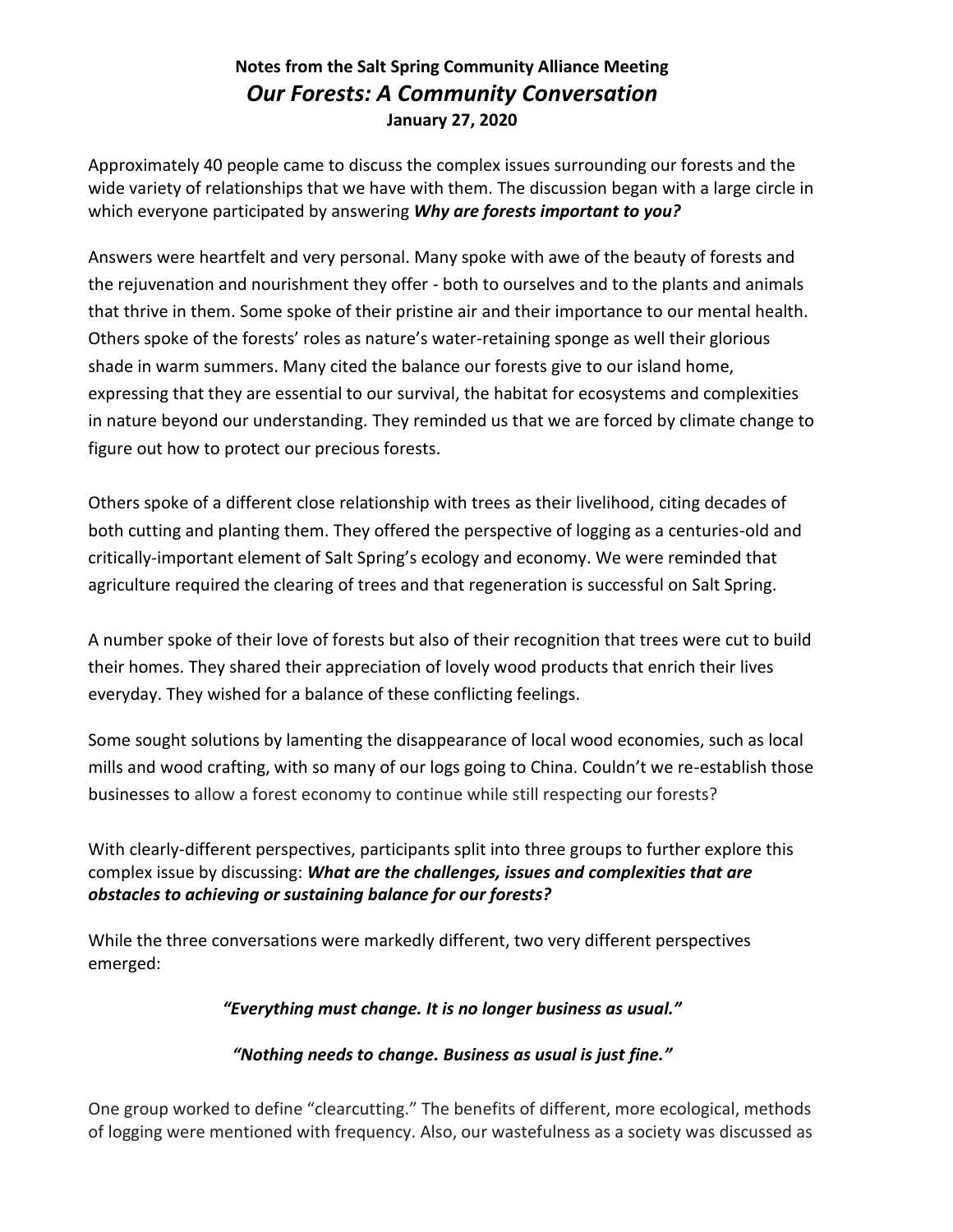# **Notes from the Salt Spring Community Alliance Meeting** *Our Forests: A Community Conversation* **January 27, 2020**

Approximately 40 people came to discuss the complex issues surrounding our forests and the wide variety of relationships that we have with them. The discussion began with a large circle in which everyone participated by answering *Why are forests important to you?*

Answers were heartfelt and very personal. Many spoke with awe of the beauty of forests and the rejuvenation and nourishment they offer - both to ourselves and to the plants and animals that thrive in them. Some spoke of their pristine air and their importance to our mental health. Others spoke of the forests' roles as nature's water-retaining sponge as well their glorious shade in warm summers. Many cited the balance our forests give to our island home, expressing that they are essential to our survival, the habitat for ecosystems and complexities in nature beyond our understanding. They reminded us that we are forced by climate change to figure out how to protect our precious forests.

Others spoke of a different close relationship with trees as their livelihood, citing decades of both cutting and planting them. They offered the perspective of logging as a centuries-old and critically-important element of Salt Spring's ecology and economy. We were reminded that agriculture required the clearing of trees and that regeneration is successful on Salt Spring.

A number spoke of their love of forests but also of their recognition that trees were cut to build their homes. They shared their appreciation of lovely wood products that enrich their lives everyday. They wished for a balance of these conflicting feelings.

Some sought solutions by lamenting the disappearance of local wood economies, such as local mills and wood crafting, with so many of our logs going to China. Couldn't we re-establish those businesses to allow a forest economy to continue while still respecting our forests?

With clearly-different perspectives, participants split into three groups to further explore this complex issue by discussing: *What are the challenges, issues and complexities that are obstacles to achieving or sustaining balance for our forests?* 

While the three conversations were markedly different, two very different perspectives emerged:

*"Everything must change. It is no longer business as usual."*

## *"Nothing needs to change. Business as usual is just fine."*

One group worked to define "clearcutting." The benefits of different, more ecological, methods of logging were mentioned with frequency. Also, our wastefulness as a society was discussed as